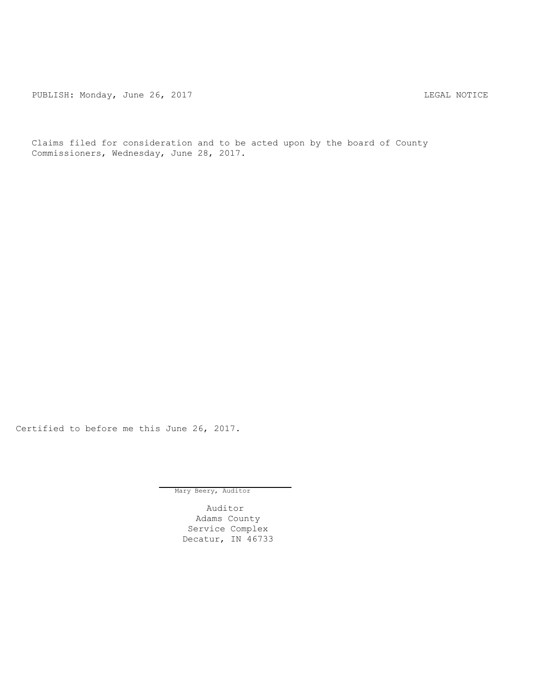PUBLISH: Monday, June 26, 2017 CHANGE CONSERVERSE REGAL NOTICE

Claims filed for consideration and to be acted upon by the board of County Commissioners, Wednesday, June 28, 2017.

Certified to before me this June 26, 2017.

Mary Beery, Auditor

Auditor Adams County Service Complex Decatur, IN 46733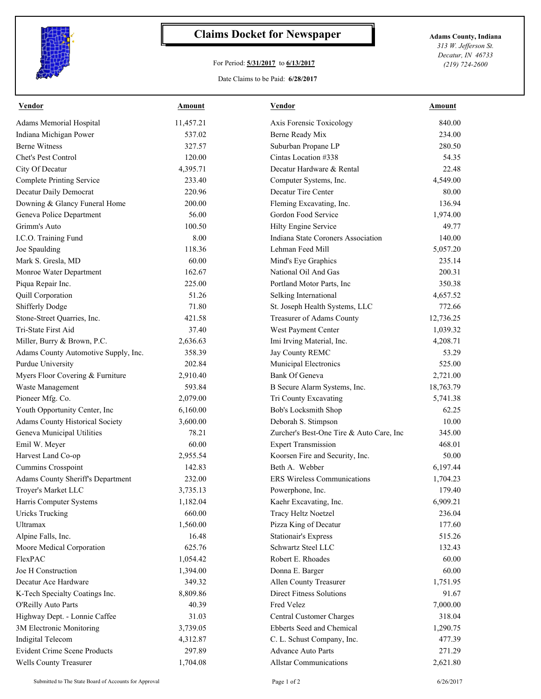

## **Claims Docket for Newspaper Adams County, Indiana**

## For Period: **5/31/2017** to **6/13/2017**

*313 W. Jefferson St. Decatur, IN 46733 (219) 724-2600*

## Date Claims to be Paid: **6/28/2017**

| Vendor                               | <b>Amount</b> | <b>Vendor</b>                            | <b>Amount</b> |
|--------------------------------------|---------------|------------------------------------------|---------------|
| Adams Memorial Hospital              | 11,457.21     | Axis Forensic Toxicology                 | 840.00        |
| Indiana Michigan Power               | 537.02        | Berne Ready Mix                          | 234.00        |
| <b>Berne Witness</b>                 | 327.57        | Suburban Propane LP                      | 280.50        |
| Chet's Pest Control                  | 120.00        | Cintas Location #338                     | 54.35         |
| City Of Decatur                      | 4,395.71      | Decatur Hardware & Rental                | 22.48         |
| <b>Complete Printing Service</b>     | 233.40        | Computer Systems, Inc.                   | 4,549.00      |
| Decatur Daily Democrat               | 220.96        | Decatur Tire Center                      | 80.00         |
| Downing & Glancy Funeral Home        | 200.00        | Fleming Excavating, Inc.                 | 136.94        |
| Geneva Police Department             | 56.00         | Gordon Food Service                      | 1,974.00      |
| Grimm's Auto                         | 100.50        | Hilty Engine Service                     | 49.77         |
| I.C.O. Training Fund                 | 8.00          | Indiana State Coroners Association       | 140.00        |
| Joe Spaulding                        | 118.36        | Lehman Feed Mill                         | 5,057.20      |
| Mark S. Gresla, MD                   | 60.00         | Mind's Eye Graphics                      | 235.14        |
| Monroe Water Department              | 162.67        | National Oil And Gas                     | 200.31        |
| Piqua Repair Inc.                    | 225.00        | Portland Motor Parts, Inc                | 350.38        |
| Quill Corporation                    | 51.26         | Selking International                    | 4,657.52      |
| Shifferly Dodge                      | 71.80         | St. Joseph Health Systems, LLC           | 772.66        |
| Stone-Street Quarries, Inc.          | 421.58        | Treasurer of Adams County                | 12,736.25     |
| Tri-State First Aid                  | 37.40         | West Payment Center                      | 1,039.32      |
| Miller, Burry & Brown, P.C.          | 2,636.63      | Imi Irving Material, Inc.                | 4,208.71      |
| Adams County Automotive Supply, Inc. | 358.39        | Jay County REMC                          | 53.29         |
| Purdue University                    | 202.84        | Municipal Electronics                    | 525.00        |
| Myers Floor Covering & Furniture     | 2,910.40      | <b>Bank Of Geneva</b>                    | 2,721.00      |
| Waste Management                     | 593.84        | B Secure Alarm Systems, Inc.             | 18,763.79     |
| Pioneer Mfg. Co.                     | 2,079.00      | Tri County Excavating                    | 5,741.38      |
| Youth Opportunity Center, Inc        | 6,160.00      | Bob's Locksmith Shop                     | 62.25         |
| Adams County Historical Society      | 3,600.00      | Deborah S. Stimpson                      | 10.00         |
| Geneva Municipal Utilities           | 78.21         | Zurcher's Best-One Tire & Auto Care, Inc | 345.00        |
| Emil W. Meyer                        | 60.00         | <b>Expert Transmission</b>               | 468.01        |
| Harvest Land Co-op                   | 2,955.54      | Koorsen Fire and Security, Inc.          | 50.00         |
| Cummins Crosspoint                   | 142.83        | Beth A. Webber                           | 6,197.44      |
| Adams County Sheriff's Department    | 232.00        | ERS Wireless Communications              | 1,704.23      |
| Troyer's Market LLC                  | 3,735.13      | Powerphone, Inc.                         | 179.40        |
| Harris Computer Systems              | 1,182.04      | Kaehr Excavating, Inc.                   | 6,909.21      |
| <b>Uricks Trucking</b>               | 660.00        | Tracy Heltz Noetzel                      | 236.04        |
| <b>Ultramax</b>                      | 1,560.00      | Pizza King of Decatur                    | 177.60        |
| Alpine Falls, Inc.                   | 16.48         | <b>Stationair's Express</b>              | 515.26        |
| Moore Medical Corporation            | 625.76        | Schwartz Steel LLC                       | 132.43        |
| FlexPAC                              | 1,054.42      | Robert E. Rhoades                        | 60.00         |
| Joe H Construction                   | 1,394.00      | Donna E. Barger                          | 60.00         |
| Decatur Ace Hardware                 | 349.32        | Allen County Treasurer                   | 1,751.95      |
| K-Tech Specialty Coatings Inc.       | 8,809.86      | <b>Direct Fitness Solutions</b>          | 91.67         |
|                                      | 40.39         | Fred Velez                               | 7,000.00      |
| O'Reilly Auto Parts                  |               |                                          |               |
| Highway Dept. - Lonnie Caffee        | 31.03         | Central Customer Charges                 | 318.04        |
| 3M Electronic Monitoring             | 3,739.05      | Ebberts Seed and Chemical                | 1,290.75      |
| Indigital Telecom                    | 4,312.87      | C. L. Schust Company, Inc.               | 477.39        |
| <b>Evident Crime Scene Products</b>  | 297.89        | <b>Advance Auto Parts</b>                | 271.29        |
| Wells County Treasurer               | 1,704.08      | <b>Allstar Communications</b>            | 2,621.80      |